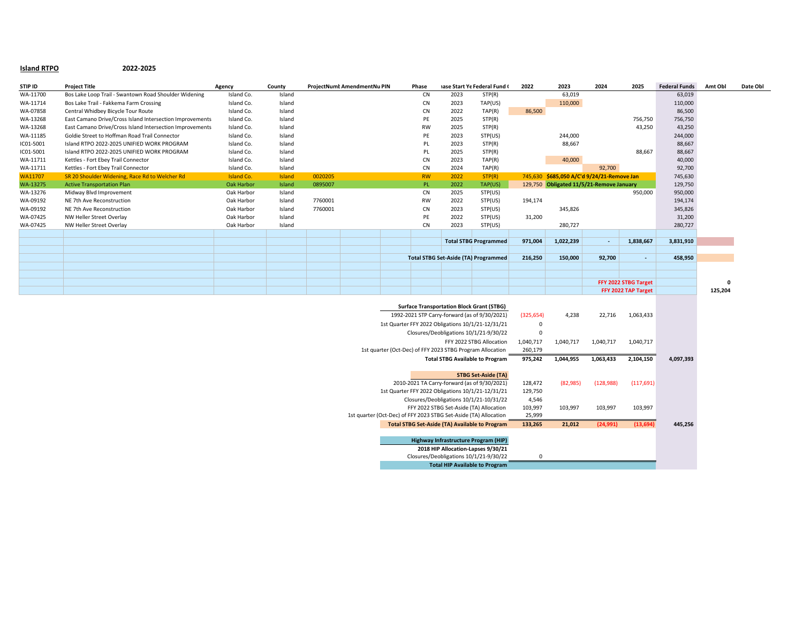## **Island RTPO 2022-2025**

| STIP ID   | <b>Project Title</b>                                     | Agency     | County |         | ProjectNumt AmendmentNu PIN | Phase     |                                             | iase Start Ye Federal Fund ( | 2022    | 2023                                       | 2024   | 2025                 | <b>Federal Funds</b> | Amt Obl  | Date Obl |
|-----------|----------------------------------------------------------|------------|--------|---------|-----------------------------|-----------|---------------------------------------------|------------------------------|---------|--------------------------------------------|--------|----------------------|----------------------|----------|----------|
| WA-11700  | Bos Lake Loop Trail - Swantown Road Shoulder Widening    | Island Co. | Island |         |                             | <b>CN</b> | 2023                                        | STP(R)                       |         | 63,019                                     |        |                      | 63,019               |          |          |
| WA-11714  | Bos Lake Trail - Fakkema Farm Crossing                   | Island Co. | Island |         |                             | <b>CN</b> | 2023                                        | TAP(US)                      |         | 110,000                                    |        |                      | 110,000              |          |          |
| WA-07858  | Central Whidbey Bicycle Tour Route                       | Island Co. | Island |         |                             | <b>CN</b> | 2022                                        | TAP(R)                       | 86.500  |                                            |        |                      | 86,500               |          |          |
| WA-13268  | East Camano Drive/Cross Island Intersection Improvements | Island Co. | Island |         |                             | PE        | 2025                                        | STP(R)                       |         |                                            |        | 756,750              | 756,750              |          |          |
| WA-13268  | East Camano Drive/Cross Island Intersection Improvements | Island Co. | Island |         |                             | <b>RW</b> | 2025                                        | STP(R)                       |         |                                            |        | 43,250               | 43,250               |          |          |
| WA-11185  | Goldie Street to Hoffman Road Trail Connector            | Island Co. | Island |         |                             | PE        | 2023                                        | STP(US)                      |         | 244,000                                    |        |                      | 244,000              |          |          |
| IC01-5001 | Island RTPO 2022-2025 UNIFIED WORK PROGRAM               | Island Co. | Island |         |                             | PL        | 2023                                        | STP(R)                       |         | 88,667                                     |        |                      | 88,667               |          |          |
| IC01-5001 | Island RTPO 2022-2025 UNIFIED WORK PROGRAM               | Island Co. | Island |         |                             | PL        | 2025                                        | STP(R)                       |         |                                            |        | 88,667               | 88,667               |          |          |
| WA-11711  | Kettles - Fort Ebey Trail Connector                      | Island Co. | Island |         |                             | <b>CN</b> | 2023                                        | TAP(R)                       |         | 40,000                                     |        |                      | 40,000               |          |          |
| WA-11711  | Kettles - Fort Ebey Trail Connector                      | Island Co. | Island |         |                             | <b>CN</b> | 2024                                        | TAP(R)                       |         |                                            | 92,700 |                      | 92,700               |          |          |
| WA11707   | SR 20 Shoulder Widening, Race Rd to Welcher Rd           | Island Co. | Island | 0020205 |                             | <b>RW</b> | 2022                                        | STP(R)                       |         | 745,630 \$685,050 A/C'd 9/24/21-Remove Jan |        |                      | 745,630              |          |          |
| WA-13275  | <b>Active Transportation Plan</b>                        | Oak Harbor | Island | 0895007 |                             | PL.       | 2022                                        | TAP(US)                      |         | 129,750 Obligated 11/5/21-Remove January   |        |                      | 129,750              |          |          |
| WA-13276  | Midway Blvd Improvement                                  | Oak Harbor | Island |         |                             | CN        | 2025                                        | STP(US)                      |         |                                            |        | 950,000              | 950,000              |          |          |
| WA-09192  | NE 7th Ave Reconstruction                                | Oak Harbor | Island | 7760001 |                             | <b>RW</b> | 2022                                        | STP(US)                      | 194,174 |                                            |        |                      | 194,174              |          |          |
| WA-09192  | NE 7th Ave Reconstruction                                | Oak Harbor | Island | 7760001 |                             | <b>CN</b> | 2023                                        | STP(US)                      |         | 345,826                                    |        |                      | 345,826              |          |          |
| WA-07425  | NW Heller Street Overlay                                 | Oak Harbor | Island |         |                             | PE        | 2022                                        | STP(US)                      | 31,200  |                                            |        |                      | 31,200               |          |          |
| WA-07425  | NW Heller Street Overlay                                 | Oak Harbor | Island |         |                             | <b>CN</b> | 2023                                        | STP(US)                      |         | 280,727                                    |        |                      | 280,727              |          |          |
|           |                                                          |            |        |         |                             |           |                                             |                              |         |                                            |        |                      |                      |          |          |
|           |                                                          |            |        |         |                             |           |                                             | <b>Total STBG Programmed</b> | 971,004 | 1,022,239                                  | $\sim$ | 1,838,667            | 3,831,910            |          |          |
|           |                                                          |            |        |         |                             |           |                                             |                              |         |                                            |        |                      |                      |          |          |
|           |                                                          |            |        |         |                             |           | <b>Total STBG Set-Aside (TA) Programmed</b> |                              | 216,250 | 150,000                                    | 92,700 | $\sim$               | 458,950              |          |          |
|           |                                                          |            |        |         |                             |           |                                             |                              |         |                                            |        |                      |                      |          |          |
|           |                                                          |            |        |         |                             |           |                                             |                              |         |                                            |        |                      |                      |          |          |
|           |                                                          |            |        |         |                             |           |                                             |                              |         |                                            |        | FFY 2022 STBG Target |                      | $\Omega$ |          |
|           |                                                          |            |        |         |                             |           |                                             |                              |         |                                            |        | FFY 2022 TAP Target  |                      | 125,204  |          |

|  | <b>Surface Transportation Block Grant (STBG)</b>                 |             |           |            |            |           |
|--|------------------------------------------------------------------|-------------|-----------|------------|------------|-----------|
|  | 1992-2021 STP Carry-forward (as of 9/30/2021)                    | (325, 654)  | 4,238     | 22,716     | 1,063,433  |           |
|  | 1st Quarter FFY 2022 Obligations 10/1/21-12/31/21                | 0           |           |            |            |           |
|  | Closures/Deobligations 10/1/21-9/30/22                           | $\mathbf 0$ |           |            |            |           |
|  | FFY 2022 STBG Allocation                                         | 1,040,717   | 1,040,717 | 1,040,717  | 1,040,717  |           |
|  | 1st quarter (Oct-Dec) of FFY 2023 STBG Program Allocation        | 260,179     |           |            |            |           |
|  | <b>Total STBG Available to Program</b>                           | 975,242     | 1,044,955 | 1,063,433  | 2,104,150  | 4,097,393 |
|  |                                                                  |             |           |            |            |           |
|  | <b>STBG Set-Aside (TA)</b>                                       |             |           |            |            |           |
|  | 2010-2021 TA Carry-forward (as of 9/30/2021)                     | 128,472     | (82,985)  | (128, 988) | (117, 691) |           |
|  | 1st Quarter FFY 2022 Obligations 10/1/21-12/31/21                | 129,750     |           |            |            |           |
|  | Closures/Deobligations 10/1/21-10/31/22                          | 4,546       |           |            |            |           |
|  | FFY 2022 STBG Set-Aside (TA) Allocation                          | 103,997     | 103,997   | 103,997    | 103,997    |           |
|  | 1st quarter (Oct-Dec) of FFY 2023 STBG Set-Aside (TA) Allocation | 25,999      |           |            |            |           |
|  | <b>Total STBG Set-Aside (TA) Available to Program</b>            | 133,265     | 21,012    | (24, 991)  | (13, 694)  | 445,256   |
|  |                                                                  |             |           |            |            |           |
|  | Highway Infrastructure Program (HIP)                             |             |           |            |            |           |
|  | 2018 HIP Allocation-Lapses 9/30/21                               |             |           |            |            |           |
|  | Closures/Deobligations 10/1/21-9/30/22                           | n           |           |            |            |           |
|  | <b>Total HIP Available to Program</b>                            |             |           |            |            |           |